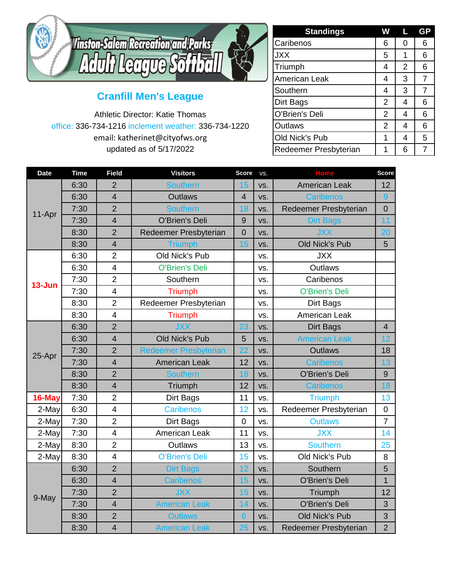

## **Cranfill Men's League**

Athletic Director: Katie Thomas office: 336-734-1216 inclement weather: 336-734-1220 email: katherinet@cityofws.org updated as of 5/17/2022

| <b>Standings</b>      | W              | L              | <b>GP</b> |
|-----------------------|----------------|----------------|-----------|
| Caribenos             | 6              | 0              | 6         |
| <b>JXX</b>            | 5              | 1              | 6         |
| Triumph               | 4              | $\overline{2}$ | 6         |
| American Leak         | 4              | 3              | 7         |
| Southern              | 4              | 3              | 7         |
| <b>Dirt Bags</b>      | $\overline{2}$ | 4              | 6         |
| O'Brien's Deli        | $\overline{2}$ | 4              | 6         |
| <b>Outlaws</b>        | $\overline{2}$ | 4              | 6         |
| Old Nick's Pub        | 1              | 4              | 5         |
| Redeemer Presbyterian |                | 6              |           |

| <b>Date</b> | <b>Time</b> | <b>Field</b>            | <b>Visitors</b>              | <b>Score</b>   | VS. | <b>Home</b>           | <b>Score</b>     |
|-------------|-------------|-------------------------|------------------------------|----------------|-----|-----------------------|------------------|
| 11-Apr      | 6:30        | $\overline{2}$          | <b>Southern</b>              | 15             | VS. | <b>American Leak</b>  | 12               |
|             | 6:30        | $\overline{4}$          | <b>Outlaws</b>               | $\overline{4}$ | VS. | <b>Caribenos</b>      | 9                |
|             | 7:30        | $\overline{2}$          | <b>Southern</b>              | 18             | VS. | Redeemer Presbyterian | $\overline{0}$   |
|             | 7:30        | $\overline{4}$          | <b>O'Brien's Deli</b>        | 9              | VS. | <b>Dirt Bags</b>      | 11               |
|             | 8:30        | $\overline{2}$          | Redeemer Presbyterian        | $\mathbf 0$    | VS. | <b>JXX</b>            | 20               |
|             | 8:30        | $\overline{4}$          | <b>Triumph</b>               | 15             | VS. | Old Nick's Pub        | 5                |
| 13-Jun      | 6:30        | $\overline{2}$          | Old Nick's Pub               |                | VS. | <b>JXX</b>            |                  |
|             | 6:30        | $\overline{\mathbf{4}}$ | <b>O'Brien's Deli</b>        |                | VS. | <b>Outlaws</b>        |                  |
|             | 7:30        | $\overline{2}$          | Southern                     |                | VS. | Caribenos             |                  |
|             | 7:30        | $\overline{4}$          | <b>Triumph</b>               |                | VS. | <b>O'Brien's Deli</b> |                  |
|             | 8:30        | $\overline{2}$          | Redeemer Presbyterian        |                | VS. | Dirt Bags             |                  |
|             | 8:30        | $\overline{4}$          | <b>Triumph</b>               |                | VS. | American Leak         |                  |
| 25-Apr      | 6:30        | $\overline{2}$          | <b>JXX</b>                   | 23             | VS. | <b>Dirt Bags</b>      | $\overline{4}$   |
|             | 6:30        | $\overline{4}$          | <b>Old Nick's Pub</b>        | 5              | VS. | <b>American Leak</b>  | 12               |
|             | 7:30        | $\overline{2}$          | <b>Redeemer Presbyterian</b> | 22             | VS. | <b>Outlaws</b>        | 18               |
|             | 7:30        | $\overline{4}$          | <b>American Leak</b>         | 12             | VS. | Caribenos             | 13               |
|             | 8:30        | $\overline{2}$          | <b>Southern</b>              | 18             | VS. | O'Brien's Deli        | 9                |
|             | 8:30        | $\overline{4}$          | Triumph                      | 12             | VS. | <b>Caribenos</b>      | 18               |
| 16-May      | 7:30        | $\overline{2}$          | <b>Dirt Bags</b>             | 11             | VS. | <b>Triumph</b>        | 13               |
| 2-May       | 6:30        | $\overline{4}$          | <b>Caribenos</b>             | 12             | VS. | Redeemer Presbyterian | $\boldsymbol{0}$ |
| 2-May       | 7:30        | $\overline{2}$          | Dirt Bags                    | $\mathbf 0$    | VS. | <b>Outlaws</b>        | $\overline{7}$   |
| 2-May       | 7:30        | $\overline{4}$          | <b>American Leak</b>         | 11             | VS. | <b>JXX</b>            | 14               |
| 2-May       | 8:30        | $\overline{2}$          | <b>Outlaws</b>               | 13             | VS. | <b>Southern</b>       | 25               |
| 2-May       | 8:30        | $\overline{4}$          | <b>O'Brien's Deli</b>        | 15             | VS. | Old Nick's Pub        | 8                |
| 9-May       | 6:30        | $\overline{2}$          | <b>Dirt Bags</b>             | 12             | VS. | Southern              | 5                |
|             | 6:30        | $\overline{4}$          | <b>Caribenos</b>             | 15             | VS. | O'Brien's Deli        | $\overline{1}$   |
|             | 7:30        | $\overline{2}$          | <b>JXX</b>                   | 15             | VS. | Triumph               | 12               |
|             | 7:30        | $\overline{4}$          | <b>American Leak</b>         | 14             | VS. | <b>O'Brien's Deli</b> | 3                |
|             | 8:30        | $\overline{2}$          | <b>Outlaws</b>               | $6\phantom{1}$ | VS. | <b>Old Nick's Pub</b> | 3                |
|             | 8:30        | $\overline{4}$          | <b>American Leak</b>         | 25             | VS. | Redeemer Presbyterian | $\overline{2}$   |